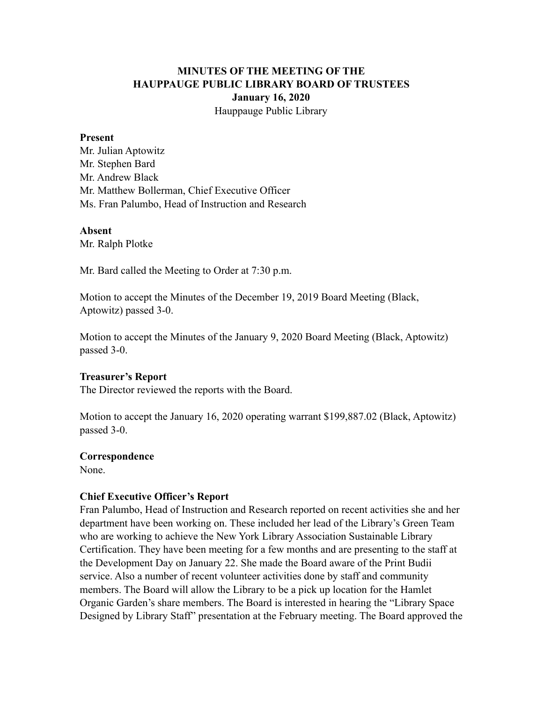# **MINUTES OF THE MEETING OF THE HAUPPAUGE PUBLIC LIBRARY BOARD OF TRUSTEES January 16, 2020** Hauppauge Public Library

#### **Present**

Mr. Julian Aptowitz Mr. Stephen Bard Mr. Andrew Black Mr. Matthew Bollerman, Chief Executive Officer Ms. Fran Palumbo, Head of Instruction and Research

#### **Absent**

Mr. Ralph Plotke

Mr. Bard called the Meeting to Order at 7:30 p.m.

Motion to accept the Minutes of the December 19, 2019 Board Meeting (Black, Aptowitz) passed 3-0.

Motion to accept the Minutes of the January 9, 2020 Board Meeting (Black, Aptowitz) passed 3-0.

#### **Treasurer's Report**

The Director reviewed the reports with the Board.

Motion to accept the January 16, 2020 operating warrant \$199,887.02 (Black, Aptowitz) passed 3-0.

#### **Correspondence**

None.

#### **Chief Executive Officer's Report**

Fran Palumbo, Head of Instruction and Research reported on recent activities she and her department have been working on. These included her lead of the Library's Green Team who are working to achieve the New York Library Association Sustainable Library Certification. They have been meeting for a few months and are presenting to the staff at the Development Day on January 22. She made the Board aware of the Print Budii service. Also a number of recent volunteer activities done by staff and community members. The Board will allow the Library to be a pick up location for the Hamlet Organic Garden's share members. The Board is interested in hearing the "Library Space Designed by Library Staff" presentation at the February meeting. The Board approved the